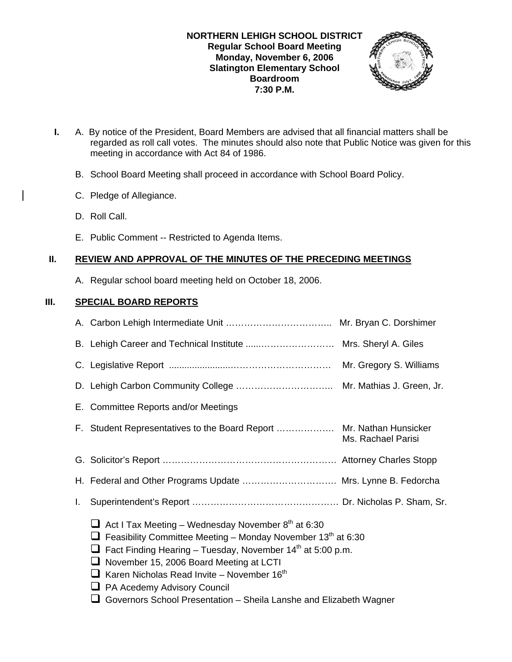### **NORTHERN LEHIGH SCHOOL DISTRICT Regular School Board Meeting Monday, November 6, 2006 Slatington Elementary School Boardroom 7:30 P.M.**



- **I.** A. By notice of the President, Board Members are advised that all financial matters shall be regarded as roll call votes. The minutes should also note that Public Notice was given for this meeting in accordance with Act 84 of 1986.
	- B. School Board Meeting shall proceed in accordance with School Board Policy.
	- C. Pledge of Allegiance.
	- D. Roll Call.
	- E. Public Comment -- Restricted to Agenda Items.

# **II. REVIEW AND APPROVAL OF THE MINUTES OF THE PRECEDING MEETINGS**

A. Regular school board meeting held on October 18, 2006.

# **III. SPECIAL BOARD REPORTS**

|                                                                                                                                                                                                                                                                                                                                                                                                                                                         | B. Lehigh Career and Technical Institute  Mrs. Sheryl A. Giles       |                    |
|---------------------------------------------------------------------------------------------------------------------------------------------------------------------------------------------------------------------------------------------------------------------------------------------------------------------------------------------------------------------------------------------------------------------------------------------------------|----------------------------------------------------------------------|--------------------|
|                                                                                                                                                                                                                                                                                                                                                                                                                                                         |                                                                      |                    |
|                                                                                                                                                                                                                                                                                                                                                                                                                                                         |                                                                      |                    |
|                                                                                                                                                                                                                                                                                                                                                                                                                                                         | E. Committee Reports and/or Meetings                                 |                    |
|                                                                                                                                                                                                                                                                                                                                                                                                                                                         | F. Student Representatives to the Board Report  Mr. Nathan Hunsicker | Ms. Rachael Parisi |
|                                                                                                                                                                                                                                                                                                                                                                                                                                                         |                                                                      |                    |
|                                                                                                                                                                                                                                                                                                                                                                                                                                                         | H. Federal and Other Programs Update  Mrs. Lynne B. Fedorcha         |                    |
| I.                                                                                                                                                                                                                                                                                                                                                                                                                                                      |                                                                      |                    |
| $\Box$ Act I Tax Meeting – Wednesday November 8 <sup>th</sup> at 6:30<br>Feasibility Committee Meeting – Monday November $13th$ at 6:30<br>ப<br>$\Box$ Fact Finding Hearing – Tuesday, November 14 <sup>th</sup> at 5:00 p.m.<br>November 15, 2006 Board Meeting at LCTI<br>$\Box$ Karen Nicholas Read Invite - November 16 <sup>th</sup><br>□ PA Acedemy Advisory Council<br>$\Box$ Governors School Presentation – Sheila Lanshe and Elizabeth Wagner |                                                                      |                    |
|                                                                                                                                                                                                                                                                                                                                                                                                                                                         |                                                                      |                    |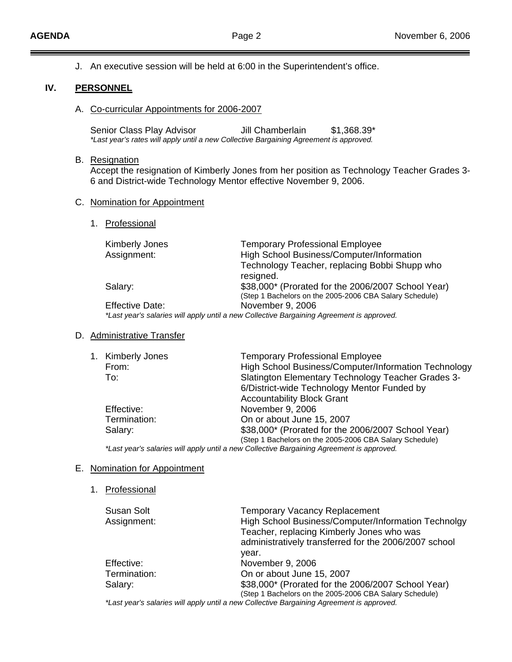J. An executive session will be held at 6:00 in the Superintendent's office.

### **IV. PERSONNEL**

A. Co-curricular Appointments for 2006-2007

Senior Class Play Advisor Jill Chamberlain \$1,368.39\* *\*Last year's rates will apply until a new Collective Bargaining Agreement is approved.*

#### B. Resignation

 Accept the resignation of Kimberly Jones from her position as Technology Teacher Grades 3- 6 and District-wide Technology Mentor effective November 9, 2006.

#### C. Nomination for Appointment

1. Professional

| <b>Kimberly Jones</b><br>Assignment: | <b>Temporary Professional Employee</b><br>High School Business/Computer/Information<br>Technology Teacher, replacing Bobbi Shupp who<br>resigned. |
|--------------------------------------|---------------------------------------------------------------------------------------------------------------------------------------------------|
| Salary:                              | \$38,000* (Prorated for the 2006/2007 School Year)<br>(Step 1 Bachelors on the 2005-2006 CBA Salary Schedule)                                     |
| <b>Effective Date:</b>               | November 9, 2006<br>*Last year's salaries will apply until a new Collective Bargaining Agreement is approved.                                     |

### D. Administrative Transfer

|  | 1. Kimberly Jones | <b>Temporary Professional Employee</b>                                              |
|--|-------------------|-------------------------------------------------------------------------------------|
|  | From:             | High School Business/Computer/Information Technology                                |
|  | To:               | Slatington Elementary Technology Teacher Grades 3-                                  |
|  |                   | 6/District-wide Technology Mentor Funded by                                         |
|  |                   | <b>Accountability Block Grant</b>                                                   |
|  | Effective:        | November 9, 2006                                                                    |
|  | Termination:      | On or about June 15, 2007                                                           |
|  | Salary:           | \$38,000* (Prorated for the 2006/2007 School Year)                                  |
|  |                   | (Step 1 Bachelors on the 2005-2006 CBA Salary Schedule)                             |
|  |                   | tot veer's seleries will annu will a new Callegius Derseining Agreement is annreugd |

*\*Last year's salaries will apply until a new Collective Bargaining Agreement is approved.*

### E. Nomination for Appointment

1. Professional

| Susan Solt   | <b>Temporary Vacancy Replacement</b>                                                      |
|--------------|-------------------------------------------------------------------------------------------|
| Assignment:  | High School Business/Computer/Information Technolgy                                       |
|              | Teacher, replacing Kimberly Jones who was                                                 |
|              | administratively transferred for the 2006/2007 school                                     |
|              | vear.                                                                                     |
| Effective:   | November 9, 2006                                                                          |
| Termination: | On or about June 15, 2007                                                                 |
| Salary:      | \$38,000* (Prorated for the 2006/2007 School Year)                                        |
|              | (Step 1 Bachelors on the 2005-2006 CBA Salary Schedule)                                   |
|              | *Last year's salaries will apply until a new Collective Bargaining Agreement is approved. |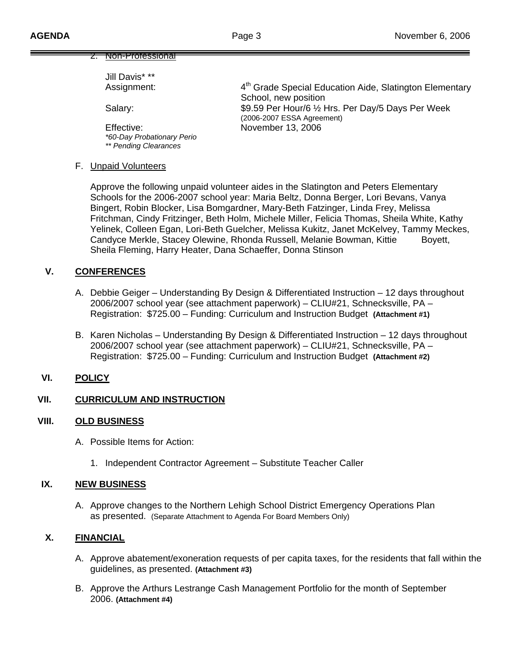#### 2. Non-Professional

Jill Davis\* \*\*

Effective: November 13, 2006  *\*60-Day Probationary Perio \*\* Pending Clearances* 

Assignment: 4<sup>th</sup> Grade Special Education Aide, Slatington Elementary School, new position Salary:  $$9.59$  Per Hour/6 ½ Hrs. Per Day/5 Days Per Week (2006-2007 ESSA Agreement)

#### F. Unpaid Volunteers

 Approve the following unpaid volunteer aides in the Slatington and Peters Elementary Schools for the 2006-2007 school year: Maria Beltz, Donna Berger, Lori Bevans, Vanya Bingert, Robin Blocker, Lisa Bomgardner, Mary-Beth Fatzinger, Linda Frey, Melissa Fritchman, Cindy Fritzinger, Beth Holm, Michele Miller, Felicia Thomas, Sheila White, Kathy Yelinek, Colleen Egan, Lori-Beth Guelcher, Melissa Kukitz, Janet McKelvey, Tammy Meckes, Candyce Merkle, Stacey Olewine, Rhonda Russell, Melanie Bowman, Kittie Boyett, Sheila Fleming, Harry Heater, Dana Schaeffer, Donna Stinson

### **V. CONFERENCES**

- A. Debbie Geiger Understanding By Design & Differentiated Instruction 12 days throughout 2006/2007 school year (see attachment paperwork) – CLIU#21, Schnecksville, PA – Registration: \$725.00 – Funding: Curriculum and Instruction Budget **(Attachment #1)**
- B. Karen Nicholas Understanding By Design & Differentiated Instruction 12 days throughout 2006/2007 school year (see attachment paperwork) – CLIU#21, Schnecksville, PA – Registration: \$725.00 – Funding: Curriculum and Instruction Budget **(Attachment #2)**

### **VI. POLICY**

## **VII. CURRICULUM AND INSTRUCTION**

### **VIII. OLD BUSINESS**

- A. Possible Items for Action:
	- 1. Independent Contractor Agreement Substitute Teacher Caller

### **IX. NEW BUSINESS**

A. Approve changes to the Northern Lehigh School District Emergency Operations Plan as presented. (Separate Attachment to Agenda For Board Members Only)

# **X. FINANCIAL**

- A. Approve abatement/exoneration requests of per capita taxes, for the residents that fall within the guidelines, as presented. **(Attachment #3)**
- B. Approve the Arthurs Lestrange Cash Management Portfolio for the month of September 2006. **(Attachment #4)**